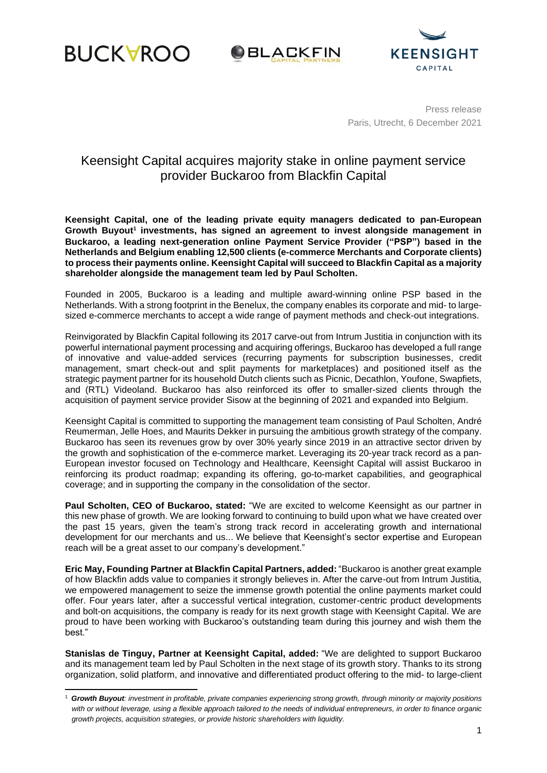





Press release Paris, Utrecht, 6 December 2021

# Keensight Capital acquires majority stake in online payment service provider Buckaroo from Blackfin Capital

**Keensight Capital, one of the leading private equity managers dedicated to pan-European Growth Buyout<sup>1</sup> investments, has signed an agreement to invest alongside management in Buckaroo, a leading next-generation online Payment Service Provider ("PSP") based in the Netherlands and Belgium enabling 12,500 clients (e-commerce Merchants and Corporate clients) to process their payments online. Keensight Capital will succeed to Blackfin Capital as a majority shareholder alongside the management team led by Paul Scholten.**

Founded in 2005, Buckaroo is a leading and multiple award-winning online PSP based in the Netherlands. With a strong footprint in the Benelux, the company enables its corporate and mid- to largesized e-commerce merchants to accept a wide range of payment methods and check-out integrations.

Reinvigorated by Blackfin Capital following its 2017 carve-out from Intrum Justitia in conjunction with its powerful international payment processing and acquiring offerings, Buckaroo has developed a full range of innovative and value-added services (recurring payments for subscription businesses, credit management, smart check-out and split payments for marketplaces) and positioned itself as the strategic payment partner for its household Dutch clients such as Picnic, Decathlon, Youfone, Swapfiets, and (RTL) Videoland. Buckaroo has also reinforced its offer to smaller-sized clients through the acquisition of payment service provider Sisow at the beginning of 2021 and expanded into Belgium.

Keensight Capital is committed to supporting the management team consisting of Paul Scholten, André Reumerman, Jelle Hoes, and Maurits Dekker in pursuing the ambitious growth strategy of the company. Buckaroo has seen its revenues grow by over 30% yearly since 2019 in an attractive sector driven by the growth and sophistication of the e-commerce market. Leveraging its 20-year track record as a pan-European investor focused on Technology and Healthcare, Keensight Capital will assist Buckaroo in reinforcing its product roadmap; expanding its offering, go-to-market capabilities, and geographical coverage; and in supporting the company in the consolidation of the sector.

**Paul Scholten, CEO of Buckaroo, stated:** "We are excited to welcome Keensight as our partner in this new phase of growth. We are looking forward to continuing to build upon what we have created over the past 15 years, given the team's strong track record in accelerating growth and international development for our merchants and us... We believe that Keensight's sector expertise and European reach will be a great asset to our company's development."

**Eric May, Founding Partner at Blackfin Capital Partners, added:** "Buckaroo is another great example of how Blackfin adds value to companies it strongly believes in. After the carve-out from Intrum Justitia, we empowered management to seize the immense growth potential the online payments market could offer. Four years later, after a successful vertical integration, customer-centric product developments and bolt-on acquisitions, the company is ready for its next growth stage with Keensight Capital. We are proud to have been working with Buckaroo's outstanding team during this journey and wish them the best."

**Stanislas de Tinguy, Partner at Keensight Capital, added:** "We are delighted to support Buckaroo and its management team led by Paul Scholten in the next stage of its growth story. Thanks to its strong organization, solid platform, and innovative and differentiated product offering to the mid- to large-client

<sup>1</sup> *Growth Buyout: investment in profitable, private companies experiencing strong growth, through minority or majority positions with or without leverage, using a flexible approach tailored to the needs of individual entrepreneurs, in order to finance organic growth projects, acquisition strategies, or provide historic shareholders with liquidity.*